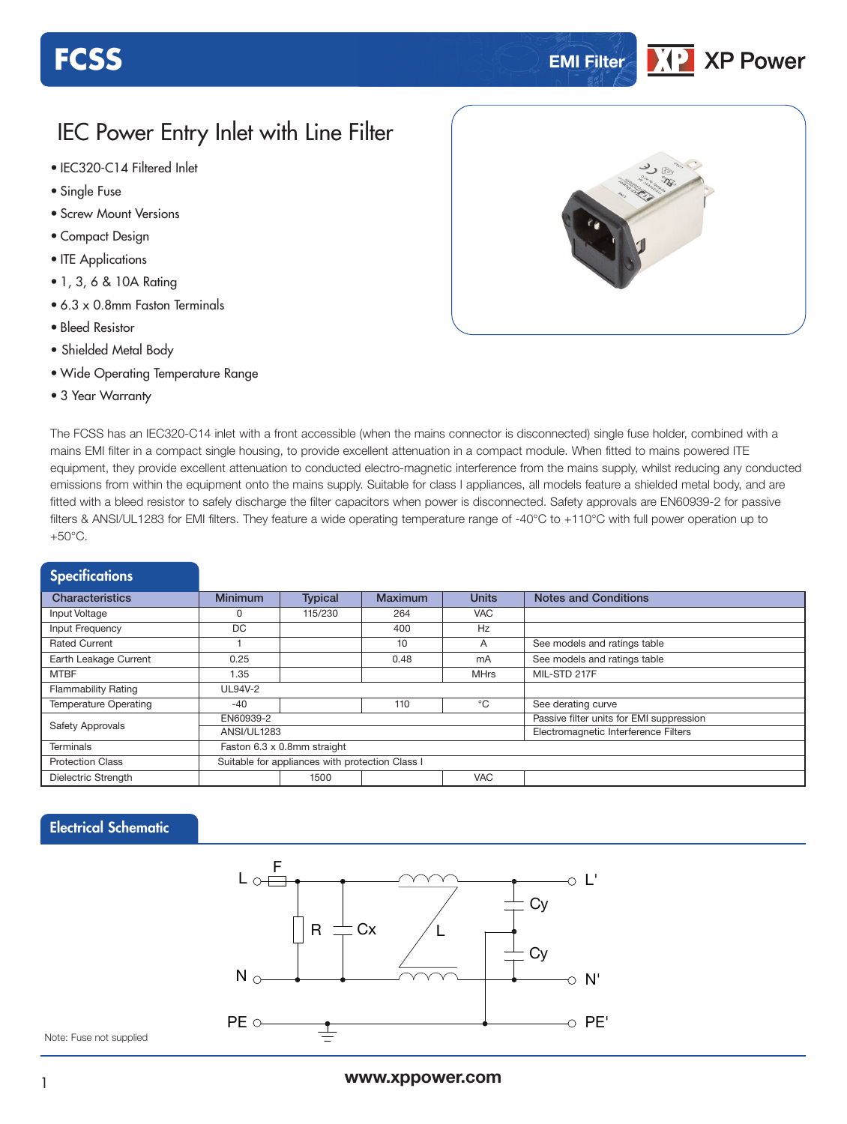# **FCSS EMI Filter**

### **XP Power**

### IEC Power Entry Inlet with Line Filter

- **xxx Series** IEC320-C14 Filtered Inlet
- Single Fuse
- Screw Mount Versions
- Compact Design
- ITE Applications
- 1, 3, 6 & 10A Rating
- 6.3 x 0.8mm Faston Terminals
- Bleed Resistor
- Shielded Metal Body
- Wide Operating Temperature Range
- 3 Year Warranty



The FCSS has an IEC320-C14 inlet with a front accessible (when the mains connector is disconnected) single fuse holder, combined with a mains EMI filter in a compact single housing, to provide excellent attenuation in a compact module. When fitted to mains powered ITE equipment, they provide excellent attenuation to conducted electro-magnetic interference from the mains supply, whilst reducing any conducted emissions from within the equipment onto the mains supply. Suitable for class I appliances, all models feature a shielded metal body, and are fitted with a bleed resistor to safely discharge the filter capacitors when power is disconnected. Safety approvals are EN60939-2 for passive filters & ANSI/UL1283 for EMI filters. They feature a wide operating temperature range of -40°C to +110°C with full power operation up to +50°C.

| <b>Specifications</b>        |                                                 |                |                |                                             |                              |  |  |  |  |
|------------------------------|-------------------------------------------------|----------------|----------------|---------------------------------------------|------------------------------|--|--|--|--|
| <b>Characteristics</b>       | <b>Minimum</b>                                  | <b>Typical</b> | <b>Maximum</b> | <b>Notes and Conditions</b><br><b>Units</b> |                              |  |  |  |  |
| Input Voltage                |                                                 | 115/230        | 264            | <b>VAC</b>                                  |                              |  |  |  |  |
| Input Frequency              | <b>DC</b>                                       |                | 400            | Hz                                          |                              |  |  |  |  |
| <b>Rated Current</b>         |                                                 |                | 10             | A                                           | See models and ratings table |  |  |  |  |
| Earth Leakage Current        | 0.25                                            |                | 0.48           | mA                                          | See models and ratings table |  |  |  |  |
| <b>MTBF</b>                  | 1.35                                            |                |                | <b>MHrs</b>                                 | MIL-STD 217F                 |  |  |  |  |
| <b>Flammability Rating</b>   | UL94V-2                                         |                |                |                                             |                              |  |  |  |  |
| <b>Temperature Operating</b> | $-40$                                           |                | 110            | °C                                          | See derating curve           |  |  |  |  |
|                              | EN60939-2                                       |                |                | Passive filter units for EMI suppression    |                              |  |  |  |  |
| Safety Approvals             | ANSI/UL1283                                     |                |                | Electromagnetic Interference Filters        |                              |  |  |  |  |
| <b>Terminals</b>             | Faston 6.3 x 0.8mm straight                     |                |                |                                             |                              |  |  |  |  |
| <b>Protection Class</b>      | Suitable for appliances with protection Class I |                |                |                                             |                              |  |  |  |  |
| Dielectric Strength          |                                                 | 1500           |                | <b>VAC</b>                                  |                              |  |  |  |  |

#### Electrical Schematic



Note: Fuse not supplied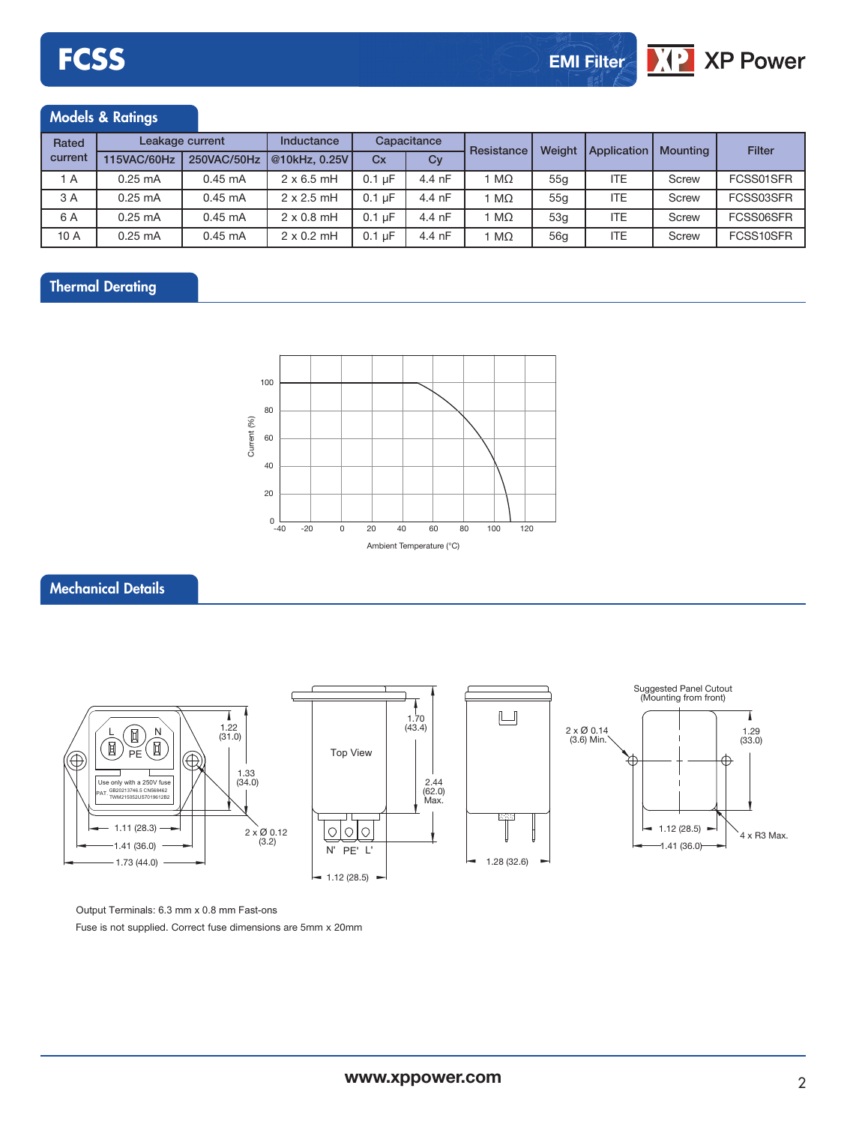#### Models & Ratings

| Rated   | Leakage current   |                   | Inductance        | Capacitance      |                  | Resistance | Weight          | Application | <b>Mounting</b> | Filter    |
|---------|-------------------|-------------------|-------------------|------------------|------------------|------------|-----------------|-------------|-----------------|-----------|
| current | 115VAC/60Hz       | 250VAC/50Hz       | 0.25V             | Cx               | Cy               |            |                 |             |                 |           |
| 1 A     | $0.25 \text{ mA}$ | $0.45 \text{ mA}$ | $2 \times 6.5$ mH | $0.1 \text{ uF}$ | 4.4 nF           | $M\Omega$  | 55 <sub>a</sub> | <b>ITE</b>  | Screw           | FCSS01SFR |
| 3 A     | $0.25 \text{ mA}$ | $0.45 \text{ mA}$ | $2 \times 2.5$ mH | $0.1 \text{ uF}$ | 4.4 nF           | ΜΩ         | 55q             | <b>ITE</b>  | Screw           | FCSS03SFR |
| 6 A     | $0.25 \text{ mA}$ | $0.45 \text{ mA}$ | $2 \times 0.8$ mH | $0.1 \text{ uF}$ | $4.4 \text{ nF}$ | MΩ         | 53q             | <b>ITE</b>  | Screw           | FCSS06SFR |
| 10 A    | $0.25 \text{ mA}$ | $0.45 \text{ mA}$ | $2 \times 0.2$ mH | $0.1 \text{ uF}$ | 4.4 nF           | ΜΩ         | 56g             | <b>ITE</b>  | Screw           | FCSS10SFR |

#### Thermal Derating



#### Mechanical Details



Output Terminals: 6.3 mm x 0.8 mm Fast-ons Fuse is not supplied. Correct fuse dimensions are 5mm x 20mm